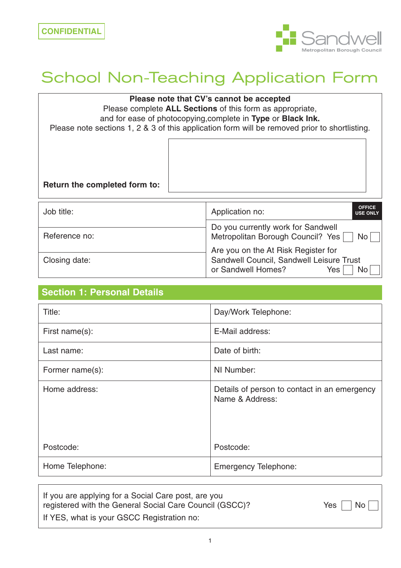

# School Non-Teaching Application Form

| Please note that CV's cannot be accepted<br>Please complete ALL Sections of this form as appropriate,<br>and for ease of photocopying, complete in Type or Black Ink.<br>Please note sections 1, 2 & 3 of this application form will be removed prior to shortlisting. |                                                                                                                     |                           |  |  |
|------------------------------------------------------------------------------------------------------------------------------------------------------------------------------------------------------------------------------------------------------------------------|---------------------------------------------------------------------------------------------------------------------|---------------------------|--|--|
| Return the completed form to:                                                                                                                                                                                                                                          |                                                                                                                     |                           |  |  |
| Job title:                                                                                                                                                                                                                                                             | Application no:                                                                                                     | <b>OFFICE</b><br>USE ONLY |  |  |
| Reference no:                                                                                                                                                                                                                                                          | Do you currently work for Sandwell<br>Metropolitan Borough Council? Yes                                             | No.                       |  |  |
| Closing date:                                                                                                                                                                                                                                                          | Are you on the At Risk Register for<br>Sandwell Council, Sandwell Leisure Trust<br>or Sandwell Homes?<br><b>Yes</b> | No                        |  |  |

# **Section 1: Personal Details**

| Title:          | Day/Work Telephone:                                             |
|-----------------|-----------------------------------------------------------------|
| First name(s):  | E-Mail address:                                                 |
| Last name:      | Date of birth:                                                  |
| Former name(s): | NI Number:                                                      |
| Home address:   | Details of person to contact in an emergency<br>Name & Address: |
| Postcode:       | Postcode:                                                       |
| Home Telephone: | <b>Emergency Telephone:</b>                                     |

If you are applying for a Social Care post, are you registered with the General Social Care Council (GSCC)?  $Yes \cap No$ If YES, what is your GSCC Registration no: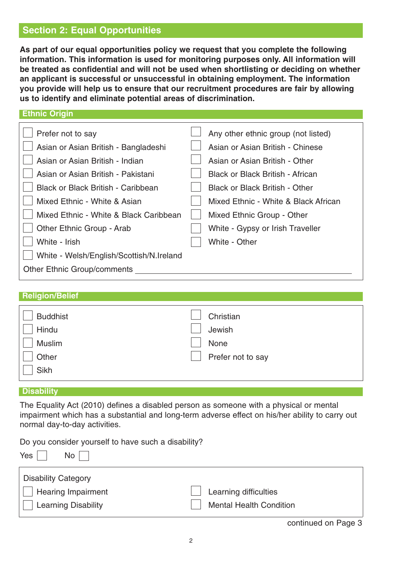## **Section 2: Equal Opportunities**

**As part of our equal opportunities policy we request that you complete the following information. This information is used for monitoring purposes only. All information will be treated as confidential and will not be used when shortlisting or deciding on whether an applicant is successful or unsuccessful in obtaining employment. The information you provide will help us to ensure that our recruitment procedures are fair by allowing us to identify and eliminate potential areas of discrimination.**

| <b>Ethnic Origin</b>                                                                                                                                                                                                                                                                                                                                                                                                                                                                                                                                                                                                                                                                                           |  |
|----------------------------------------------------------------------------------------------------------------------------------------------------------------------------------------------------------------------------------------------------------------------------------------------------------------------------------------------------------------------------------------------------------------------------------------------------------------------------------------------------------------------------------------------------------------------------------------------------------------------------------------------------------------------------------------------------------------|--|
| Prefer not to say<br>Any other ethnic group (not listed)<br>Asian or Asian British - Chinese<br>Asian or Asian British - Bangladeshi<br>Asian or Asian British - Indian<br>Asian or Asian British - Other<br>Asian or Asian British - Pakistani<br>Black or Black British - African<br><b>Black or Black British - Caribbean</b><br><b>Black or Black British - Other</b><br>Mixed Ethnic - White & Asian<br>Mixed Ethnic - White & Black African<br>Mixed Ethnic - White & Black Caribbean<br>Mixed Ethnic Group - Other<br>Other Ethnic Group - Arab<br>White - Gypsy or Irish Traveller<br>White - Irish<br>White - Other<br>White - Welsh/English/Scottish/N.Ireland<br><b>Other Ethnic Group/comments</b> |  |
|                                                                                                                                                                                                                                                                                                                                                                                                                                                                                                                                                                                                                                                                                                                |  |

#### **Religion/Belief**

| <b>Buddhist</b> | Christian         |
|-----------------|-------------------|
| Hindu           | Jewish            |
| Muslim          | None              |
| Other           | Prefer not to say |
| Sikh            |                   |

#### **Disability**

The Equality Act (2010) defines a disabled person as someone with a physical or mental impairment which has a substantial and long-term adverse effect on his/her ability to carry out normal day-to-day activities.

Do you consider yourself to have such a disability?

| Yes<br>No                  |                                |  |  |
|----------------------------|--------------------------------|--|--|
| <b>Disability Category</b> |                                |  |  |
| <b>Hearing Impairment</b>  | Learning difficulties          |  |  |
| <b>Learning Disability</b> | <b>Mental Health Condition</b> |  |  |
|                            |                                |  |  |

| continued on Page 3 |  |  |
|---------------------|--|--|
|                     |  |  |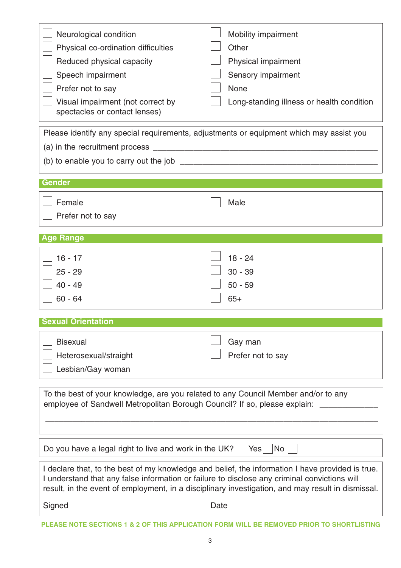| Neurological condition<br>Physical co-ordination difficulties<br>Reduced physical capacity<br>Speech impairment<br>Prefer not to say<br>Visual impairment (not correct by<br>spectacles or contact lenses) | Mobility impairment<br>Other<br>Physical impairment<br>Sensory impairment<br><b>None</b><br>Long-standing illness or health condition<br>Please identify any special requirements, adjustments or equipment which may assist you |
|------------------------------------------------------------------------------------------------------------------------------------------------------------------------------------------------------------|----------------------------------------------------------------------------------------------------------------------------------------------------------------------------------------------------------------------------------|
|                                                                                                                                                                                                            |                                                                                                                                                                                                                                  |
| (b) to enable you to carry out the job $\sqrt{2}$                                                                                                                                                          |                                                                                                                                                                                                                                  |
| <b>Gender</b>                                                                                                                                                                                              |                                                                                                                                                                                                                                  |
| Female<br>Prefer not to say                                                                                                                                                                                | Male                                                                                                                                                                                                                             |
| <b>Age Range</b>                                                                                                                                                                                           |                                                                                                                                                                                                                                  |
| $16 - 17$                                                                                                                                                                                                  | $18 - 24$                                                                                                                                                                                                                        |
| $25 - 29$                                                                                                                                                                                                  | $30 - 39$                                                                                                                                                                                                                        |
| $40 - 49$                                                                                                                                                                                                  | $50 - 59$                                                                                                                                                                                                                        |
| $60 - 64$                                                                                                                                                                                                  | $65+$                                                                                                                                                                                                                            |
| <b>Sexual Orientation</b>                                                                                                                                                                                  |                                                                                                                                                                                                                                  |
| <b>Bisexual</b>                                                                                                                                                                                            | Gay man                                                                                                                                                                                                                          |
| Heterosexual/straight                                                                                                                                                                                      | Prefer not to say                                                                                                                                                                                                                |
| Lesbian/Gay woman                                                                                                                                                                                          |                                                                                                                                                                                                                                  |
| To the best of your knowledge, are you related to any Council Member and/or to any<br>employee of Sandwell Metropolitan Borough Council? If so, please explain:                                            |                                                                                                                                                                                                                                  |
| Do you have a legal right to live and work in the UK?                                                                                                                                                      | <b>No</b><br>Yes                                                                                                                                                                                                                 |
| I understand that any false information or failure to disclose any criminal convictions will                                                                                                               | I declare that, to the best of my knowledge and belief, the information I have provided is true.<br>result, in the event of employment, in a disciplinary investigation, and may result in dismissal.                            |
| Signed                                                                                                                                                                                                     | Date                                                                                                                                                                                                                             |
|                                                                                                                                                                                                            | PLEASE NOTE SECTIONS 1 & 2 OF THIS APPLICATION FORM WILL BE REMOVED PRIOR TO SHORTLISTING                                                                                                                                        |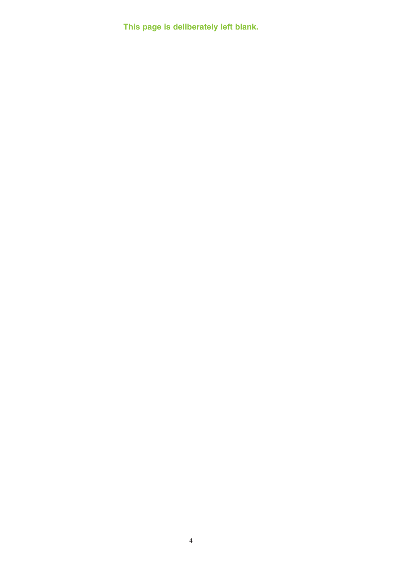**This page is deliberately left blank.**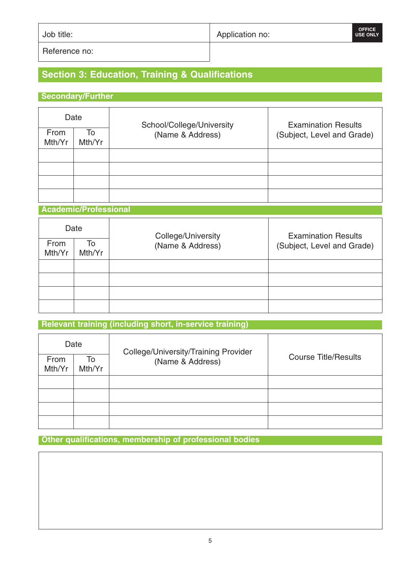| Job title: | Application no: | <b>OFFICE</b><br>USE ONLY |
|------------|-----------------|---------------------------|

Reference no:

# **Section 3: Education, Training & Qualifications**

#### **Secondary/Further**

| From<br>To<br>(Name & Address)<br>Mth/Yr<br>Mth/Yr | Date | School/College/University | <b>Examination Results</b><br>(Subject, Level and Grade) |  |
|----------------------------------------------------|------|---------------------------|----------------------------------------------------------|--|
|                                                    |      |                           |                                                          |  |
|                                                    |      |                           |                                                          |  |
|                                                    |      |                           |                                                          |  |
|                                                    |      |                           |                                                          |  |
|                                                    |      |                           |                                                          |  |

#### **Academic/Professional**

| Date           |              | College/University | <b>Examination Results</b> |  |
|----------------|--------------|--------------------|----------------------------|--|
| From<br>Mth/Yr | To<br>Mth/Yr | (Name & Address)   | (Subject, Level and Grade) |  |
|                |              |                    |                            |  |
|                |              |                    |                            |  |
|                |              |                    |                            |  |
|                |              |                    |                            |  |

### **Relevant training (including short, in-service training)**

| Date           |              | College/University/Training Provider |                             |
|----------------|--------------|--------------------------------------|-----------------------------|
| From<br>Mth/Yr | To<br>Mth/Yr | (Name & Address)                     | <b>Course Title/Results</b> |
|                |              |                                      |                             |
|                |              |                                      |                             |
|                |              |                                      |                             |
|                |              |                                      |                             |

**Other qualifications, membership of professional bodies**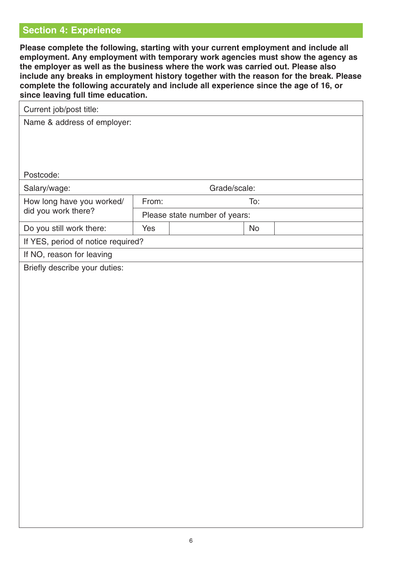# **Section 4: Experience**

**Please complete the following, starting with your current employment and include all employment. Any employment with temporary work agencies must show the agency as the employer as well as the business where the work was carried out. Please also include any breaks in employment history together with the reason for the break. Please complete the following accurately and include all experience since the age of 16, or since leaving full time education.**

| Current job/post title:            |       |                               |           |  |
|------------------------------------|-------|-------------------------------|-----------|--|
| Name & address of employer:        |       |                               |           |  |
|                                    |       |                               |           |  |
|                                    |       |                               |           |  |
|                                    |       |                               |           |  |
| Postcode:                          |       |                               |           |  |
| Salary/wage:                       |       | Grade/scale:                  |           |  |
| How long have you worked/          | From: |                               | To:       |  |
| did you work there?                |       | Please state number of years: |           |  |
| Do you still work there:           | Yes   |                               | <b>No</b> |  |
| If YES, period of notice required? |       |                               |           |  |
| If NO, reason for leaving          |       |                               |           |  |
| Briefly describe your duties:      |       |                               |           |  |
|                                    |       |                               |           |  |
|                                    |       |                               |           |  |
|                                    |       |                               |           |  |
|                                    |       |                               |           |  |
|                                    |       |                               |           |  |
|                                    |       |                               |           |  |
|                                    |       |                               |           |  |
|                                    |       |                               |           |  |
|                                    |       |                               |           |  |
|                                    |       |                               |           |  |
|                                    |       |                               |           |  |
|                                    |       |                               |           |  |
|                                    |       |                               |           |  |
|                                    |       |                               |           |  |
|                                    |       |                               |           |  |
|                                    |       |                               |           |  |
|                                    |       |                               |           |  |
|                                    |       |                               |           |  |
|                                    |       |                               |           |  |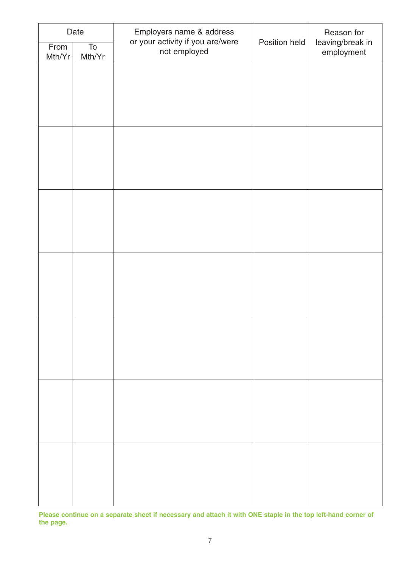| Date<br>$\operatorname{\mathsf{To}}$<br>From |        | Employers name & address<br>or your activity if you are/were<br>not employed | Position held | Reason for<br>leaving/break in |  |
|----------------------------------------------|--------|------------------------------------------------------------------------------|---------------|--------------------------------|--|
| Mth/Yr                                       | Mth/Yr |                                                                              |               | employment                     |  |
|                                              |        |                                                                              |               |                                |  |
|                                              |        |                                                                              |               |                                |  |
|                                              |        |                                                                              |               |                                |  |
|                                              |        |                                                                              |               |                                |  |
|                                              |        |                                                                              |               |                                |  |
|                                              |        |                                                                              |               |                                |  |
|                                              |        |                                                                              |               |                                |  |
|                                              |        |                                                                              |               |                                |  |
|                                              |        |                                                                              |               |                                |  |
|                                              |        |                                                                              |               |                                |  |
|                                              |        |                                                                              |               |                                |  |
|                                              |        |                                                                              |               |                                |  |
|                                              |        |                                                                              |               |                                |  |
|                                              |        |                                                                              |               |                                |  |
|                                              |        |                                                                              |               |                                |  |
|                                              |        |                                                                              |               |                                |  |
|                                              |        |                                                                              |               |                                |  |
|                                              |        |                                                                              |               |                                |  |
|                                              |        |                                                                              |               |                                |  |
|                                              |        |                                                                              |               |                                |  |
|                                              |        |                                                                              |               |                                |  |
|                                              |        |                                                                              |               |                                |  |
|                                              |        |                                                                              |               |                                |  |
|                                              |        |                                                                              |               |                                |  |
|                                              |        |                                                                              |               |                                |  |
|                                              |        |                                                                              |               |                                |  |
|                                              |        |                                                                              |               |                                |  |

**Please continue on a separate sheet if necessary and attach it with ONE staple in the top left-hand corner of the page.**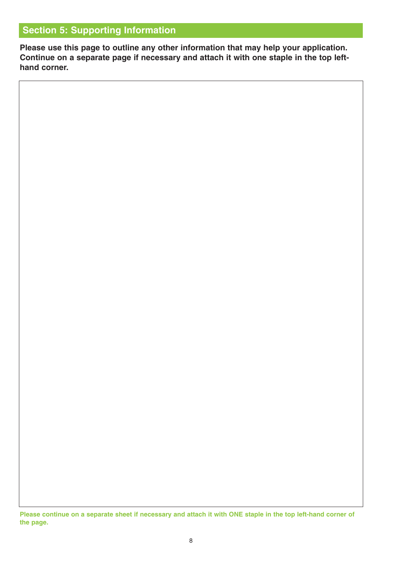# **Section 5: Supporting Information**

**Please use this page to outline any other information that may help your application. Continue on a separate page if necessary and attach it with one staple in the top lefthand corner.**

**Please continue on a separate sheet if necessary and attach it with ONE staple in the top left-hand corner of the page.**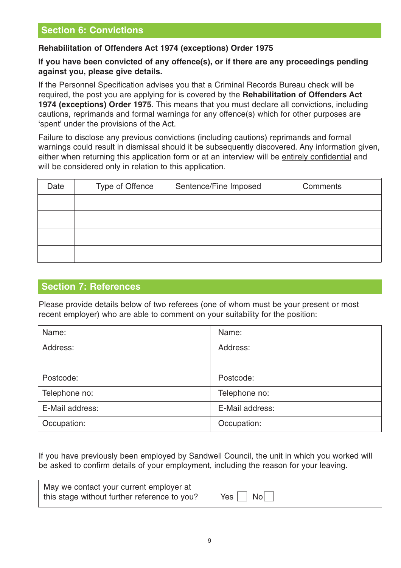## **Section 6: Convictions**

#### **Rehabilitation of Offenders Act 1974 (exceptions) Order 1975**

#### **If you have been convicted of any offence(s), or if there are any proceedings pending against you, please give details.**

If the Personnel Specification advises you that a Criminal Records Bureau check will be required, the post you are applying for is covered by the **Rehabilitation of Offenders Act 1974 (exceptions) Order 1975**. This means that you must declare all convictions, including cautions, reprimands and formal warnings for any offence(s) which for other purposes are 'spent' under the provisions of the Act.

Failure to disclose any previous convictions (including cautions) reprimands and formal warnings could result in dismissal should it be subsequently discovered. Any information given, either when returning this application form or at an interview will be entirely confidential and will be considered only in relation to this application.

| Date | Type of Offence | Sentence/Fine Imposed | Comments |
|------|-----------------|-----------------------|----------|
|      |                 |                       |          |
|      |                 |                       |          |
|      |                 |                       |          |
|      |                 |                       |          |

## **Section 7: References**

Please provide details below of two referees (one of whom must be your present or most recent employer) who are able to comment on your suitability for the position:

| Name:           | Name:           |
|-----------------|-----------------|
| Address:        | Address:        |
|                 |                 |
| Postcode:       | Postcode:       |
| Telephone no:   | Telephone no:   |
| E-Mail address: | E-Mail address: |
| Occupation:     | Occupation:     |

If you have previously been employed by Sandwell Council, the unit in which you worked will be asked to confirm details of your employment, including the reason for your leaving.

| May we contact your current employer at      |                    |
|----------------------------------------------|--------------------|
| this stage without further reference to you? | $Yes \Box No \Box$ |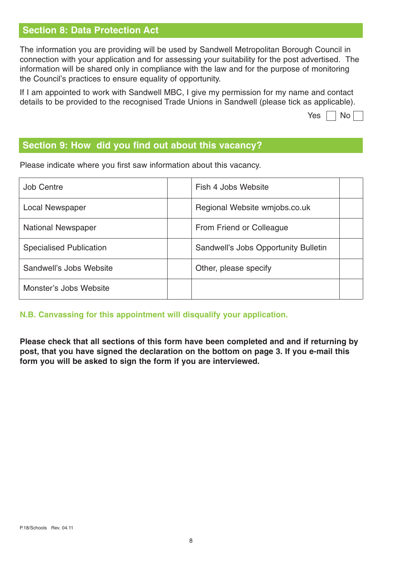## **Section 8: Data Protection Act**

The information you are providing will be used by Sandwell Metropolitan Borough Council in connection with your application and for assessing your suitability for the post advertised. The information will be shared only in compliance with the law and for the purpose of monitoring the Council's practices to ensure equality of opportunity.

If I am appointed to work with Sandwell MBC, I give my permission for my name and contact details to be provided to the recognised Trade Unions in Sandwell (please tick as applicable).

| No<br>ົ |
|---------|
|---------|

# **Section 9: How did you find out about this vacancy?**

Please indicate where you first saw information about this vacancy.

| Job Centre                     | Fish 4 Jobs Website                  |  |
|--------------------------------|--------------------------------------|--|
| Local Newspaper                | Regional Website wmjobs.co.uk        |  |
| <b>National Newspaper</b>      | From Friend or Colleague             |  |
| <b>Specialised Publication</b> | Sandwell's Jobs Opportunity Bulletin |  |
| Sandwell's Jobs Website        | Other, please specify                |  |
| Monster's Jobs Website         |                                      |  |

**N.B. Canvassing for this appointment will disqualify your application.**

**Please check that all sections of this form have been completed and and if returning by post, that you have signed the declaration on the bottom on page 3. If you e-mail this form you will be asked to sign the form if you are interviewed.**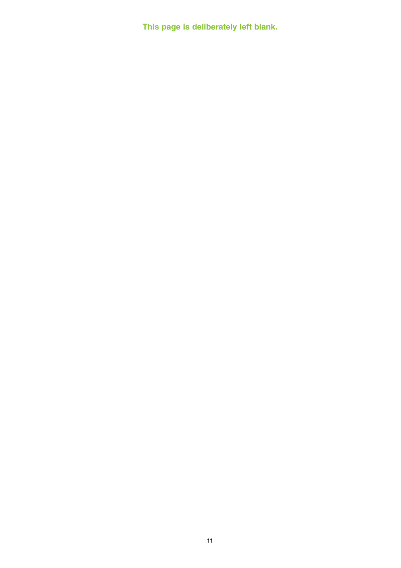**This page is deliberately left blank.**